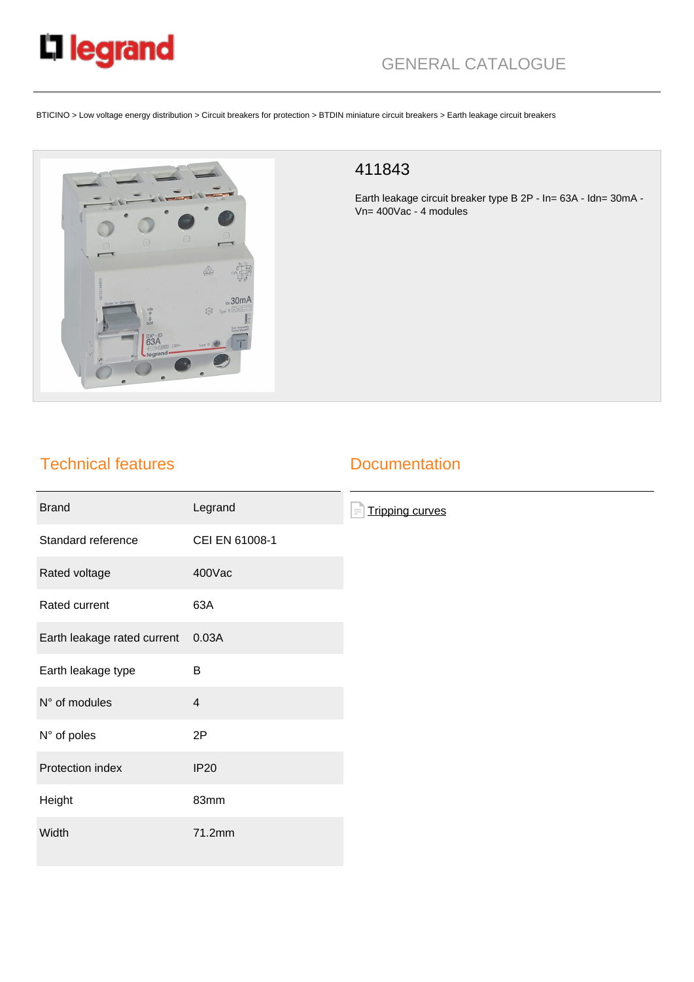

## GENERAL CATALOGUE

BTICINO > Low voltage energy distribution > Circuit breakers for protection > BTDIN miniature circuit breakers > Earth leakage circuit breakers



## 411843

Earth leakage circuit breaker type B 2P - In= 63A - Idn= 30mA - Vn= 400Vac - 4 modules

## Technical features

## **Documentation**

| <b>Brand</b>                | Legrand        | <b>Tripping curves</b><br>$\equiv$ |
|-----------------------------|----------------|------------------------------------|
| Standard reference          | CEI EN 61008-1 |                                    |
| Rated voltage               | 400Vac         |                                    |
| Rated current               | 63A            |                                    |
| Earth leakage rated current | 0.03A          |                                    |
| Earth leakage type          | B              |                                    |
| N° of modules               | $\overline{4}$ |                                    |
| N° of poles                 | 2P             |                                    |
| Protection index            | <b>IP20</b>    |                                    |
| Height                      | 83mm           |                                    |
| Width                       | 71.2mm         |                                    |